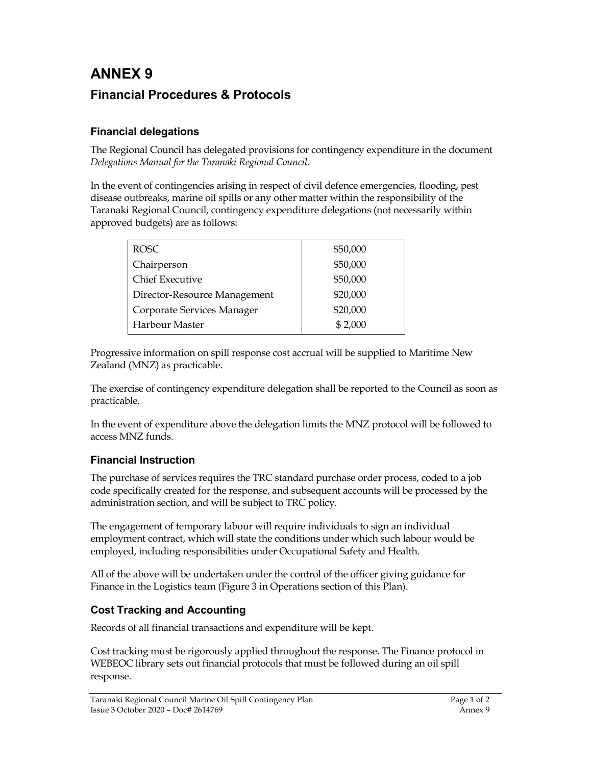## ANNEX 9 Financial Procedures & Protocols

## Financial delegations

The Regional Council has delegated provisions for contingency expenditure in the document Delegations Manual for the Taranaki Regional Council.

In the event of contingencies arising in respect of civil defence emergencies, flooding, pest disease outbreaks, marine oil spills or any other matter within the responsibility of the Taranaki Regional Council, contingency expenditure delegations (not necessarily within approved budgets) are as follows:

| ROSC <sub>1</sub>            | \$50,000 |
|------------------------------|----------|
| Chairperson                  | \$50,000 |
| <b>Chief Executive</b>       | \$50,000 |
| Director-Resource Management | \$20,000 |
| Corporate Services Manager   | \$20,000 |
| Harbour Master               | \$2,000  |

Progressive information on spill response cost accrual will be supplied to Maritime New Zealand (MNZ) as practicable.

The exercise of contingency expenditure delegation shall be reported to the Council as soon as practicable.

In the event of expenditure above the delegation limits the MNZ protocol will be followed to access MNZ funds.

## Financial Instruction

The purchase of services requires the TRC standard purchase order process, coded to a job code specifically created for the response, and subsequent accounts will be processed by the administration section, and will be subject to TRC policy.

The engagement of temporary labour will require individuals to sign an individual employment contract, which will state the conditions under which such labour would be employed, including responsibilities under Occupational Safety and Health.

All of the above will be undertaken under the control of the officer giving guidance for Finance in the Logistics team (Figure 3 in Operations section of this Plan).

## Cost Tracking and Accounting

Records of all financial transactions and expenditure will be kept.

Cost tracking must be rigorously applied throughout the response. The Finance protocol in WEBEOC library sets out financial protocols that must be followed during an oil spill response.